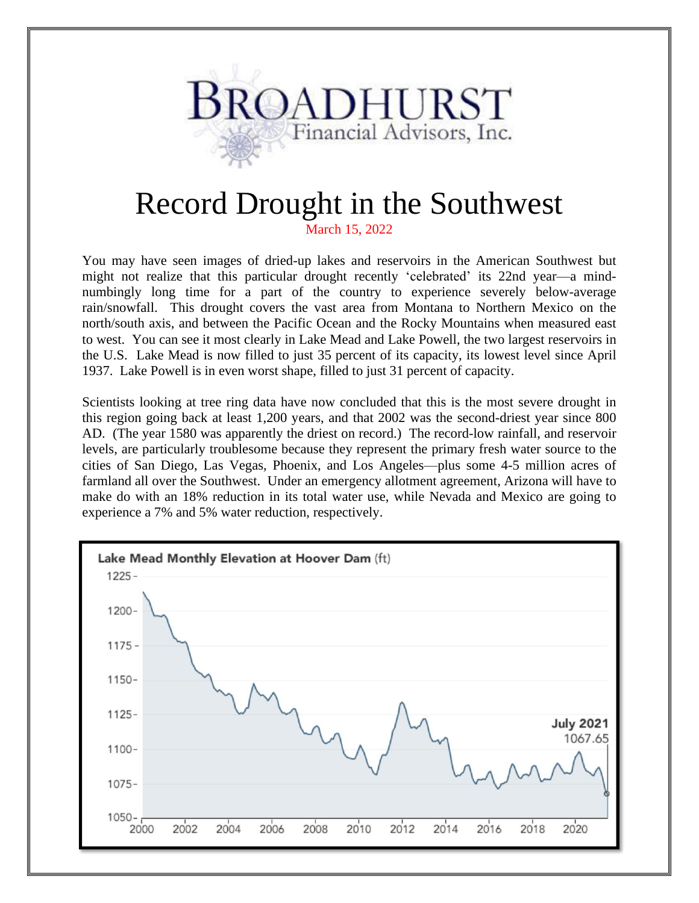

## Record Drought in the Southwest

March 15, 2022

You may have seen images of dried-up lakes and reservoirs in the American Southwest but might not realize that this particular drought recently 'celebrated' its 22nd year—a mindnumbingly long time for a part of the country to experience severely below-average rain/snowfall. This drought covers the vast area from Montana to Northern Mexico on the north/south axis, and between the Pacific Ocean and the Rocky Mountains when measured east to west. You can see it most clearly in Lake Mead and Lake Powell, the two largest reservoirs in the U.S. Lake Mead is now filled to just 35 percent of its capacity, its lowest level since April 1937. Lake Powell is in even worst shape, filled to just 31 percent of capacity.

Scientists looking at tree ring data have now concluded that this is the most severe drought in this region going back at least 1,200 years, and that 2002 was the second-driest year since 800 AD. (The year 1580 was apparently the driest on record.) The record-low rainfall, and reservoir levels, are particularly troublesome because they represent the primary fresh water source to the cities of San Diego, Las Vegas, Phoenix, and Los Angeles—plus some 4-5 million acres of farmland all over the Southwest. Under an emergency allotment agreement, Arizona will have to make do with an 18% reduction in its total water use, while Nevada and Mexico are going to experience a 7% and 5% water reduction, respectively.

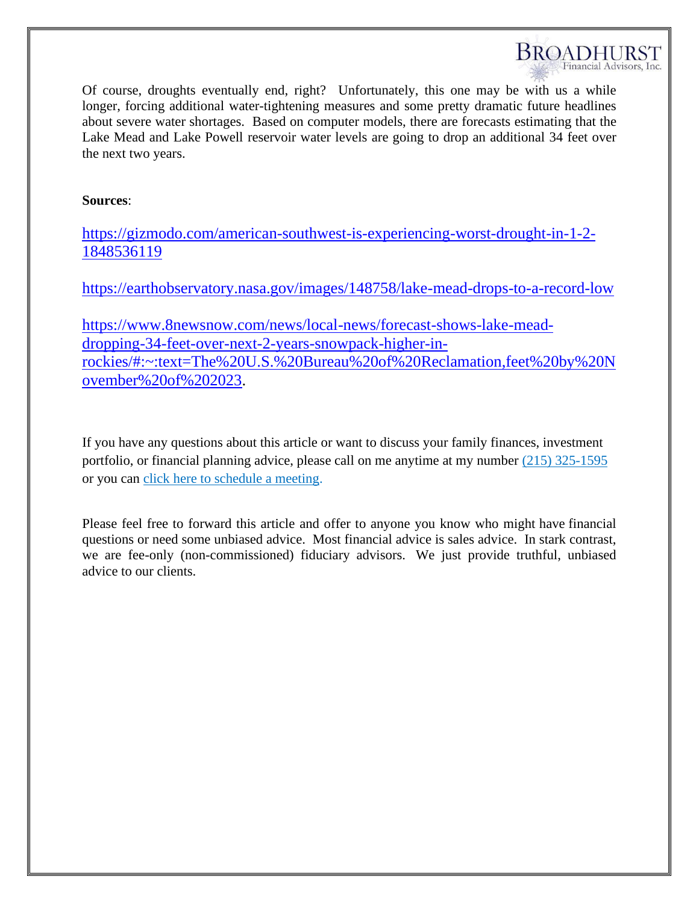

Of course, droughts eventually end, right? Unfortunately, this one may be with us a while longer, forcing additional water-tightening measures and some pretty dramatic future headlines about severe water shortages. Based on computer models, there are forecasts estimating that the Lake Mead and Lake Powell reservoir water levels are going to drop an additional 34 feet over the next two years.

## **Sources**:

[https://gizmodo.com/american-southwest-is-experiencing-worst-drought-in-1-2-](https://gizmodo.com/american-southwest-is-experiencing-worst-drought-in-1-2-1848536119) [1848536119](https://gizmodo.com/american-southwest-is-experiencing-worst-drought-in-1-2-1848536119)

<https://earthobservatory.nasa.gov/images/148758/lake-mead-drops-to-a-record-low>

[https://www.8newsnow.com/news/local-news/forecast-shows-lake-mead](https://www.8newsnow.com/news/local-news/forecast-shows-lake-mead-dropping-34-feet-over-next-2-years-snowpack-higher-in-rockies/#:~:text=The%20U.S.%20Bureau%20of%20Reclamation,feet%20by%20November%20of%202023)[dropping-34-feet-over-next-2-years-snowpack-higher-in](https://www.8newsnow.com/news/local-news/forecast-shows-lake-mead-dropping-34-feet-over-next-2-years-snowpack-higher-in-rockies/#:~:text=The%20U.S.%20Bureau%20of%20Reclamation,feet%20by%20November%20of%202023)[rockies/#:~:text=The%20U.S.%20Bureau%20of%20Reclamation,feet%20by%20N](https://www.8newsnow.com/news/local-news/forecast-shows-lake-mead-dropping-34-feet-over-next-2-years-snowpack-higher-in-rockies/#:~:text=The%20U.S.%20Bureau%20of%20Reclamation,feet%20by%20November%20of%202023) [ovember%20of%202023.](https://www.8newsnow.com/news/local-news/forecast-shows-lake-mead-dropping-34-feet-over-next-2-years-snowpack-higher-in-rockies/#:~:text=The%20U.S.%20Bureau%20of%20Reclamation,feet%20by%20November%20of%202023)

If you have any questions about this article or want to discuss your family finances, investment portfolio, or financial planning advice, please call on me anytime at my number (215) 325-1595 or you can [click here to schedule a meeting.](https://ind01.safelinks.protection.outlook.com/?url=https%3A%2F%2Fgo.oncehub.com%2FJeffreyBroadhurst&data=04%7C01%7Cravi.sai%40valentabpo.com%7Cc2154ae8426e46d5e9c908d87a1bec02%7Ca71df7bb6c2043dab7a846b7a3aaa21f%7C1%7C0%7C637393607660653673%7CUnknown%7CTWFpbGZsb3d8eyJWIjoiMC4wLjAwMDAiLCJQIjoiV2luMzIiLCJBTiI6Ik1haWwiLCJXVCI6Mn0%3D%7C1000&sdata=N26zQRflvyKxXvb7r9Iak0cBuMHFqu12SqyQoZsHzNw%3D&reserved=0)

Please feel free to forward this article and offer to anyone you know who might have financial questions or need some unbiased advice. Most financial advice is sales advice. In stark contrast, we are fee-only (non-commissioned) fiduciary advisors. We just provide truthful, unbiased advice to our clients.